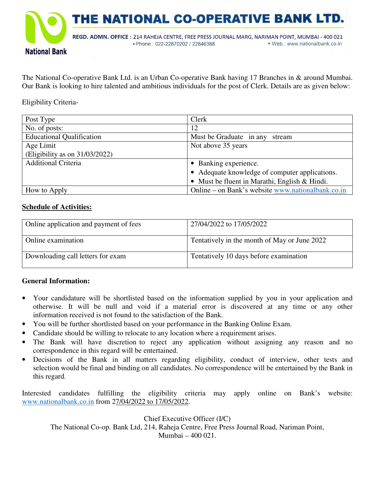

The National Co-operative Bank Ltd. is an Urban Co-operative Bank having 17 Branches in & around Mumbai. Our Bank is looking to hire talented and ambitious individuals for the post of Clerk. Details are as given below:

Eligibility Criteria-

| Post Type                         | Clerk                                             |  |  |  |
|-----------------------------------|---------------------------------------------------|--|--|--|
| No. of posts:                     | 12                                                |  |  |  |
| <b>Educational Qualification</b>  | Must be Graduate in any stream                    |  |  |  |
| Age Limit                         | Not above 35 years                                |  |  |  |
| (Eligibility as on $31/03/2022$ ) |                                                   |  |  |  |
| <b>Additional Criteria</b>        | • Banking experience.                             |  |  |  |
|                                   | • Adequate knowledge of computer applications.    |  |  |  |
|                                   | • Must be fluent in Marathi, English & Hindi.     |  |  |  |
| How to Apply                      | Online – on Bank's website www.nationalbank.co.in |  |  |  |

## **Schedule of Activities:**

| Online application and payment of fees | 27/04/2022 to 17/05/2022                     |
|----------------------------------------|----------------------------------------------|
| Online examination                     | Tentatively in the month of May or June 2022 |
| Downloading call letters for exam      | Tentatively 10 days before examination       |

# **General Information:**

- Your candidature will be shortlisted based on the information supplied by you in your application and otherwise. It will be null and void if a material error is discovered at any time or any other information received is not found to the satisfaction of the Bank.
- You will be further shortlisted based on your performance in the Banking Online Exam.
- Candidate should be willing to relocate to any location where a requirement arises.
- The Bank will have discretion to reject any application without assigning any reason and no correspondence in this regard will be entertained.
- Decisions of the Bank in all matters regarding eligibility, conduct of interview, other tests and selection would be final and binding on all candidates. No correspondence will be entertained by the Bank in this regard.

Interested candidates fulfilling the eligibility criteria may apply online on Bank's website: www.nationalbank.co.in from 27/04/2022 to 17/05/2022.

Chief Executive Officer (I/C)

The National Co-op. Bank Ltd, 214, Raheja Centre, Free Press Journal Road, Nariman Point, Mumbai – 400 021.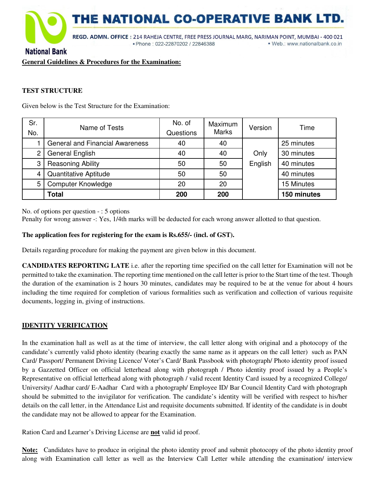

## **National Bank**

**General Guidelines & Procedures for the Examination:** 

#### **TEST STRUCTURE**

Given below is the Test Structure for the Examination:

| Sr.          | Name of Tests                          | No. of    | Maximum      | Version | Time        |
|--------------|----------------------------------------|-----------|--------------|---------|-------------|
| No.          |                                        | Questions | <b>Marks</b> |         |             |
|              | <b>General and Financial Awareness</b> | 40        | 40           |         | 25 minutes  |
| $\mathbf{2}$ | General English                        | 40        | 40           | Only    | 30 minutes  |
| 3            | <b>Reasoning Ability</b>               | 50        | 50           | English | 40 minutes  |
| 4            | Quantitative Aptitude                  | 50        | 50           |         | 40 minutes  |
| 5            | <b>Computer Knowledge</b>              | 20        | 20           |         | 15 Minutes  |
|              | Total                                  | 200       | 200          |         | 150 minutes |

No. of options per question - : 5 options

Penalty for wrong answer -: Yes, 1/4th marks will be deducted for each wrong answer allotted to that question.

#### **The application fees for registering for the exam is Rs.655/- (incl. of GST).**

Details regarding procedure for making the payment are given below in this document.

**CANDIDATES REPORTING LATE** i.e. after the reporting time specified on the call letter for Examination will not be permitted to take the examination. The reporting time mentioned on the call letter is prior to the Start time of the test. Though the duration of the examination is 2 hours 30 minutes, candidates may be required to be at the venue for about 4 hours including the time required for completion of various formalities such as verification and collection of various requisite documents, logging in, giving of instructions.

#### **IDENTITY VERIFICATION**

In the examination hall as well as at the time of interview, the call letter along with original and a photocopy of the candidate's currently valid photo identity (bearing exactly the same name as it appears on the call letter) such as PAN Card/ Passport/ Permanent Driving Licence/ Voter's Card/ Bank Passbook with photograph/ Photo identity proof issued by a Gazzetted Officer on official letterhead along with photograph / Photo identity proof issued by a People's Representative on official letterhead along with photograph / valid recent Identity Card issued by a recognized College/ University/ Aadhar card/ E-Aadhar Card with a photograph/ Employee ID/ Bar Council Identity Card with photograph should be submitted to the invigilator for verification. The candidate's identity will be verified with respect to his/her details on the call letter, in the Attendance List and requisite documents submitted. If identity of the candidate is in doubt the candidate may not be allowed to appear for the Examination.

Ration Card and Learner's Driving License are **not** valid id proof.

**Note:** Candidates have to produce in original the photo identity proof and submit photocopy of the photo identity proof along with Examination call letter as well as the Interview Call Letter while attending the examination/ interview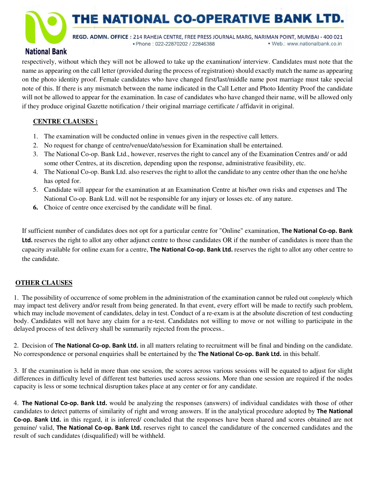THE NATIONAL CO-OPERATIVE BANK LTD

REGD. ADMN. OFFICE: 214 RAHEJA CENTRE, FREE PRESS JOURNAL MARG, NARIMAN POINT, MUMBAI - 400 021 · Phone: 022-22870202 / 22846388 · Web.: www.nationalbank.co.in

# **National Bank**

respectively, without which they will not be allowed to take up the examination/ interview. Candidates must note that the name as appearing on the call letter (provided during the process of registration) should exactly match the name as appearing on the photo identity proof. Female candidates who have changed first/last/middle name post marriage must take special note of this. If there is any mismatch between the name indicated in the Call Letter and Photo Identity Proof the candidate will not be allowed to appear for the examination. In case of candidates who have changed their name, will be allowed only if they produce original Gazette notification / their original marriage certificate / affidavit in original.

# **CENTRE CLAUSES :**

- 1. The examination will be conducted online in venues given in the respective call letters.
- 2. No request for change of centre/venue/date/session for Examination shall be entertained.
- 3. The National Co-op. Bank Ltd., however, reserves the right to cancel any of the Examination Centres and/ or add some other Centres, at its discretion, depending upon the response, administrative feasibility, etc.
- 4. The National Co-op. Bank Ltd. also reserves the right to allot the candidate to any centre other than the one he/she has opted for.
- 5. Candidate will appear for the examination at an Examination Centre at his/her own risks and expenses and The National Co-op. Bank Ltd. will not be responsible for any injury or losses etc. of any nature.
- **6.** Choice of centre once exercised by the candidate will be final.

If sufficient number of candidates does not opt for a particular centre for "Online" examination, **The National Co-op. Bank Ltd.** reserves the right to allot any other adjunct centre to those candidates OR if the number of candidates is more than the capacity available for online exam for a centre, **The National Co-op. Bank Ltd.** reserves the right to allot any other centre to the candidate.

# **OTHER CLAUSES**

1. The possibility of occurrence of some problem in the administration of the examination cannot be ruled out completely which may impact test delivery and/or result from being generated. In that event, every effort will be made to rectify such problem, which may include movement of candidates, delay in test. Conduct of a re-exam is at the absolute discretion of test conducting body. Candidates will not have any claim for a re-test. Candidates not willing to move or not willing to participate in the delayed process of test delivery shall be summarily rejected from the process..

2. Decision of **The National Co-op. Bank Ltd.** in all matters relating to recruitment will be final and binding on the candidate. No correspondence or personal enquiries shall be entertained by the **The National Co-op. Bank Ltd.** in this behalf.

3. If the examination is held in more than one session, the scores across various sessions will be equated to adjust for slight differences in difficulty level of different test batteries used across sessions. More than one session are required if the nodes capacity is less or some technical disruption takes place at any center or for any candidate.

4. **The National Co-op. Bank Ltd.** would be analyzing the responses (answers) of individual candidates with those of other candidates to detect patterns of similarity of right and wrong answers. If in the analytical procedure adopted by **The National Co-op. Bank Ltd.** in this regard, it is inferred/ concluded that the responses have been shared and scores obtained are not genuine/ valid, **The National Co-op. Bank Ltd.** reserves right to cancel the candidature of the concerned candidates and the result of such candidates (disqualified) will be withheld.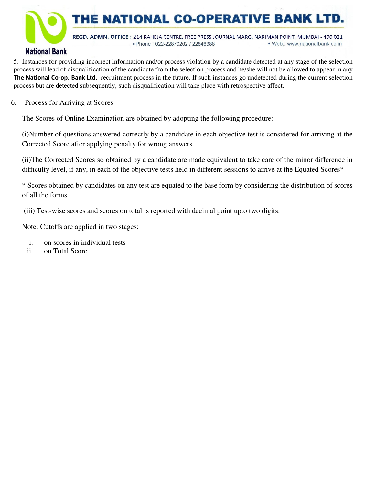

# **National Bank**

5. Instances for providing incorrect information and/or process violation by a candidate detected at any stage of the selection process will lead of disqualification of the candidate from the selection process and he/she will not be allowed to appear in any **The National Co-op. Bank Ltd.** recruitment process in the future. If such instances go undetected during the current selection process but are detected subsequently, such disqualification will take place with retrospective affect.

6. Process for Arriving at Scores

The Scores of Online Examination are obtained by adopting the following procedure:

(i)Number of questions answered correctly by a candidate in each objective test is considered for arriving at the Corrected Score after applying penalty for wrong answers.

(ii)The Corrected Scores so obtained by a candidate are made equivalent to take care of the minor difference in difficulty level, if any, in each of the objective tests held in different sessions to arrive at the Equated Scores\*

\* Scores obtained by candidates on any test are equated to the base form by considering the distribution of scores of all the forms.

(iii) Test-wise scores and scores on total is reported with decimal point upto two digits.

Note: Cutoffs are applied in two stages:

- i. on scores in individual tests
- ii. on Total Score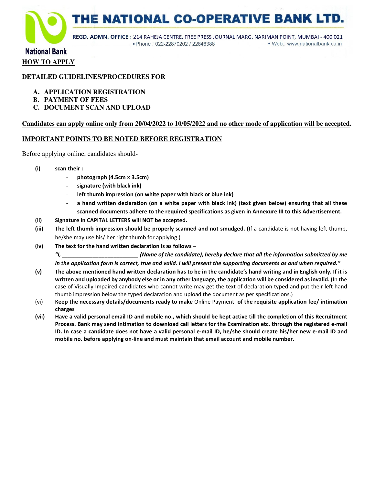

# **National Bank HOW TO APPLY**

#### **DETAILED GUIDELINES/PROCEDURES FOR**

- **A. APPLICATION REGISTRATION**
- **B. PAYMENT OF FEES**
- **C. DOCUMENT SCAN AND UPLOAD**

#### **Candidates can apply online only from 20/04/2022 to 10/05/2022 and no other mode of application will be accepted.**

#### **IMPORTANT POINTS TO BE NOTED BEFORE REGISTRATION**

Before applying online, candidates should-

- **(i) scan their :** 
	- **photograph (4.5cm × 3.5cm)**
	- signature (with black ink)
	- **left thumb impression (on white paper with black or blue ink)**
	- a hand written declaration (on a white paper with black ink) (text given below) ensuring that all these **scanned documents adhere to the required specifications as given in Annexure III to this Advertisement.**
- **(ii) Signature in CAPITAL LETTERS will NOT be accepted.**
- **(iii) The left thumb impression should be properly scanned and not smudged. (**If a candidate is not having left thumb, he/she may use his/ her right thumb for applying.)
- **(iv) The text for the hand written declaration is as follows**

*"I, \_\_\_\_\_\_\_\_\_\_\_\_\_\_\_\_\_\_\_\_\_\_\_\_\_ (Name of the candidate), hereby declare that all the information submitted by me in the application form is correct, true and valid. I will present the supporting documents as and when required."* 

- **(v) The above mentioned hand written declaration has to be in the candidate's hand writing and in English only. If it is written and uploaded by anybody else or in any other language, the application will be considered as invalid. (**In the case of Visually Impaired candidates who cannot write may get the text of declaration typed and put their left hand thumb impression below the typed declaration and upload the document as per specifications.)
- (vi) **Keep the necessary details/documents ready to make** Online Payment **of the requisite application fee/ intimation charges**
- **(vii) Have a valid personal email ID and mobile no., which should be kept active till the completion of this Recruitment Process. Bank may send intimation to download call letters for the Examination etc. through the registered e-mail ID. In case a candidate does not have a valid personal e-mail ID, he/she should create his/her new e-mail ID and mobile no. before applying on-line and must maintain that email account and mobile number.**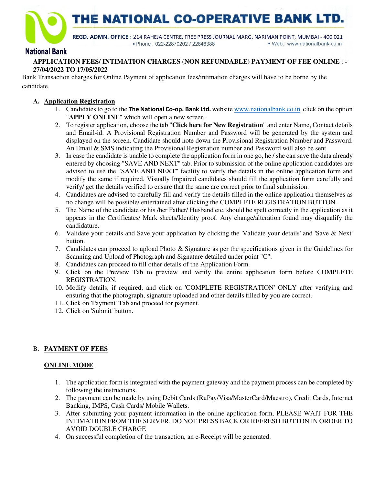



REGD. ADMN. OFFICE: 214 RAHEJA CENTRE, FREE PRESS JOURNAL MARG, NARIMAN POINT, MUMBAI - 400 021 · Phone: 022-22870202 / 22846388 · Web.: www.nationalbank.co.in

# **National Bank**

#### **APPLICATION FEES/ INTIMATION CHARGES (NON REFUNDABLE) PAYMENT OF FEE ONLINE** : **- 27/04/2022 TO 17/05/2022**

Bank Transaction charges for Online Payment of application fees/intimation charges will have to be borne by the candidate.

#### **A. Application Registration**

- 1. Candidates to go to the **The National Co-op. Bank Ltd.** website www.nationalbank.co.in click on the option "**APPLY ONLINE**" which will open a new screen.
- 2. To register application, choose the tab "**Click here for New Registration**" and enter Name, Contact details and Email-id. A Provisional Registration Number and Password will be generated by the system and displayed on the screen. Candidate should note down the Provisional Registration Number and Password. An Email & SMS indicating the Provisional Registration number and Password will also be sent.
- 3. In case the candidate is unable to complete the application form in one go, he / she can save the data already entered by choosing "SAVE AND NEXT" tab. Prior to submission of the online application candidates are advised to use the "SAVE AND NEXT" facility to verify the details in the online application form and modify the same if required. Visually Impaired candidates should fill the application form carefully and verify/ get the details verified to ensure that the same are correct prior to final submission.
- 4. Candidates are advised to carefully fill and verify the details filled in the online application themselves as no change will be possible/ entertained after clicking the COMPLETE REGISTRATION BUTTON.
- 5. The Name of the candidate or his /her Father/ Husband etc. should be spelt correctly in the application as it appears in the Certificates/ Mark sheets/Identity proof. Any change/alteration found may disqualify the candidature.
- 6. Validate your details and Save your application by clicking the 'Validate your details' and 'Save & Next' button.
- 7. Candidates can proceed to upload Photo & Signature as per the specifications given in the Guidelines for Scanning and Upload of Photograph and Signature detailed under point "C".
- 8. Candidates can proceed to fill other details of the Application Form.
- 9. Click on the Preview Tab to preview and verify the entire application form before COMPLETE REGISTRATION.
- 10. Modify details, if required, and click on 'COMPLETE REGISTRATION' ONLY after verifying and ensuring that the photograph, signature uploaded and other details filled by you are correct.
- 11. Click on 'Payment' Tab and proceed for payment.
- 12. Click on 'Submit' button.

# B. **PAYMENT OF FEES**

#### **ONLINE MODE**

- 1. The application form is integrated with the payment gateway and the payment process can be completed by following the instructions.
- 2. The payment can be made by using Debit Cards (RuPay/Visa/MasterCard/Maestro), Credit Cards, Internet Banking, IMPS, Cash Cards/ Mobile Wallets.
- 3. After submitting your payment information in the online application form, PLEASE WAIT FOR THE INTIMATION FROM THE SERVER. DO NOT PRESS BACK OR REFRESH BUTTON IN ORDER TO AVOID DOUBLE CHARGE
- 4. On successful completion of the transaction, an e-Receipt will be generated.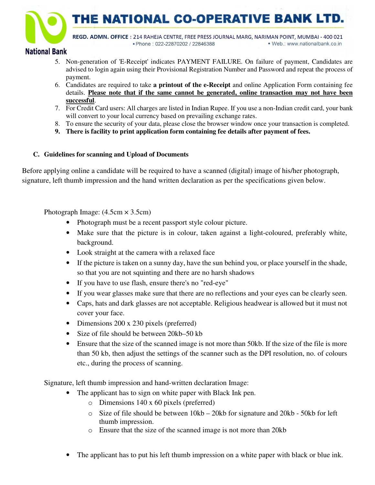THE NATIONAL CO-OPERATIVE BANK I



REGD. ADMN. OFFICE: 214 RAHEJA CENTRE, FREE PRESS JOURNAL MARG, NARIMAN POINT, MUMBAI - 400 021 · Phone: 022-22870202 / 22846388 · Web.: www.nationalbank.co.in

# **National Bank**

- 5. Non-generation of 'E-Receipt' indicates PAYMENT FAILURE. On failure of payment, Candidates are advised to login again using their Provisional Registration Number and Password and repeat the process of payment.
- 6. Candidates are required to take **a printout of the e-Receipt** and online Application Form containing fee details. **Please note that if the same cannot be generated, online transaction may not have been successful**.
- 7. For Credit Card users: All charges are listed in Indian Rupee. If you use a non-Indian credit card, your bank will convert to your local currency based on prevailing exchange rates.
- 8. To ensure the security of your data, please close the browser window once your transaction is completed.
- **9. There is facility to print application form containing fee details after payment of fees.**

# **C. Guidelines for scanning and Upload of Documents**

Before applying online a candidate will be required to have a scanned (digital) image of his/her photograph, signature, left thumb impression and the hand written declaration as per the specifications given below.

Photograph Image:  $(4.5cm \times 3.5cm)$ 

- Photograph must be a recent passport style colour picture.
- Make sure that the picture is in colour, taken against a light-coloured, preferably white, background.
- Look straight at the camera with a relaxed face
- If the picture is taken on a sunny day, have the sun behind you, or place yourself in the shade, so that you are not squinting and there are no harsh shadows
- If you have to use flash, ensure there's no "red-eye"
- If you wear glasses make sure that there are no reflections and your eyes can be clearly seen.
- Caps, hats and dark glasses are not acceptable. Religious headwear is allowed but it must not cover your face.
- Dimensions 200 x 230 pixels (preferred)
- Size of file should be between 20kb–50 kb
- Ensure that the size of the scanned image is not more than 50kb. If the size of the file is more than 50 kb, then adjust the settings of the scanner such as the DPI resolution, no. of colours etc., during the process of scanning.

Signature, left thumb impression and hand-written declaration Image:

- The applicant has to sign on white paper with Black Ink pen.
	- o Dimensions 140 x 60 pixels (preferred)
	- o Size of file should be between 10kb 20kb for signature and 20kb 50kb for left thumb impression.
	- o Ensure that the size of the scanned image is not more than 20kb
- The applicant has to put his left thumb impression on a white paper with black or blue ink.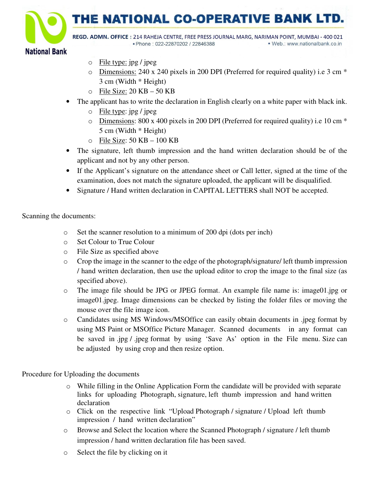THE NATIONAL CO-OPERATIVE BANK L

REGD. ADMN. OFFICE: 214 RAHEJA CENTRE, FREE PRESS JOURNAL MARG, NARIMAN POINT, MUMBAI - 400 021 · Phone: 022-22870202 / 22846388 · Web.: www.nationalbank.co.in

# **National Bank**

- o File type: jpg / jpeg
- o Dimensions: 240 x 240 pixels in 200 DPI (Preferred for required quality) i.e 3 cm \* 3 cm (Width \* Height)
- o File Size: 20 KB 50 KB
- The applicant has to write the declaration in English clearly on a white paper with black ink.
	- o File type: jpg / jpeg
	- o Dimensions: 800 x 400 pixels in 200 DPI (Preferred for required quality) i.e 10 cm \* 5 cm (Width \* Height)
	- $\circ$  File Size: 50 KB 100 KB
- The signature, left thumb impression and the hand written declaration should be of the applicant and not by any other person.
- If the Applicant's signature on the attendance sheet or Call letter, signed at the time of the examination, does not match the signature uploaded, the applicant will be disqualified.
- Signature / Hand written declaration in CAPITAL LETTERS shall NOT be accepted.

Scanning the documents:

- o Set the scanner resolution to a minimum of 200 dpi (dots per inch)
- o Set Colour to True Colour
- o File Size as specified above
- $\circ$  Crop the image in the scanner to the edge of the photograph/signature/ left thumb impression / hand written declaration, then use the upload editor to crop the image to the final size (as specified above).
- o The image file should be JPG or JPEG format. An example file name is: image01.jpg or image01.jpeg. Image dimensions can be checked by listing the folder files or moving the mouse over the file image icon.
- o Candidates using MS Windows/MSOffice can easily obtain documents in .jpeg format by using MS Paint or MSOffice Picture Manager. Scanned documents in any format can be saved in .jpg / .jpeg format by using 'Save As' option in the File menu. Size can be adjusted by using crop and then resize option.

Procedure for Uploading the documents

- o While filling in the Online Application Form the candidate will be provided with separate links for uploading Photograph, signature, left thumb impression and hand written declaration
- o Click on the respective link "Upload Photograph / signature / Upload left thumb impression / hand written declaration"
- o Browse and Select the location where the Scanned Photograph / signature / left thumb impression / hand written declaration file has been saved.
- o Select the file by clicking on it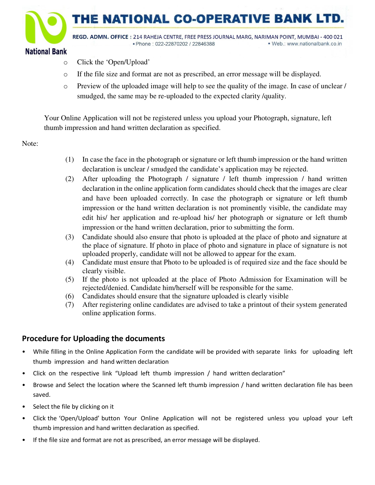

- o Click the 'Open/Upload'
- o If the file size and format are not as prescribed, an error message will be displayed.
- $\circ$  Preview of the uploaded image will help to see the quality of the image. In case of unclear / smudged, the same may be re-uploaded to the expected clarity /quality.

Your Online Application will not be registered unless you upload your Photograph, signature, left thumb impression and hand written declaration as specified.

Note:

- (1) In case the face in the photograph or signature or left thumb impression or the hand written declaration is unclear / smudged the candidate's application may be rejected.
- (2) After uploading the Photograph / signature / left thumb impression / hand written declaration in the online application form candidates should check that the images are clear and have been uploaded correctly. In case the photograph or signature or left thumb impression or the hand written declaration is not prominently visible, the candidate may edit his/ her application and re-upload his/ her photograph or signature or left thumb impression or the hand written declaration, prior to submitting the form.
- (3) Candidate should also ensure that photo is uploaded at the place of photo and signature at the place of signature. If photo in place of photo and signature in place of signature is not uploaded properly, candidate will not be allowed to appear for the exam.
- (4) Candidate must ensure that Photo to be uploaded is of required size and the face should be clearly visible.
- (5) If the photo is not uploaded at the place of Photo Admission for Examination will be rejected/denied. Candidate him/herself will be responsible for the same.
- (6) Candidates should ensure that the signature uploaded is clearly visible
- (7) After registering online candidates are advised to take a printout of their system generated online application forms.

# **Procedure for Uploading the documents**

- While filling in the Online Application Form the candidate will be provided with separate links for uploading left thumb impression and hand written declaration
- Click on the respective link "Upload left thumb impression / hand written declaration"
- Browse and Select the location where the Scanned left thumb impression / hand written declaration file has been saved.
- Select the file by clicking on it
- Click the 'Open/Upload' button Your Online Application will not be registered unless you upload your Left thumb impression and hand written declaration as specified.
- If the file size and format are not as prescribed, an error message will be displayed.